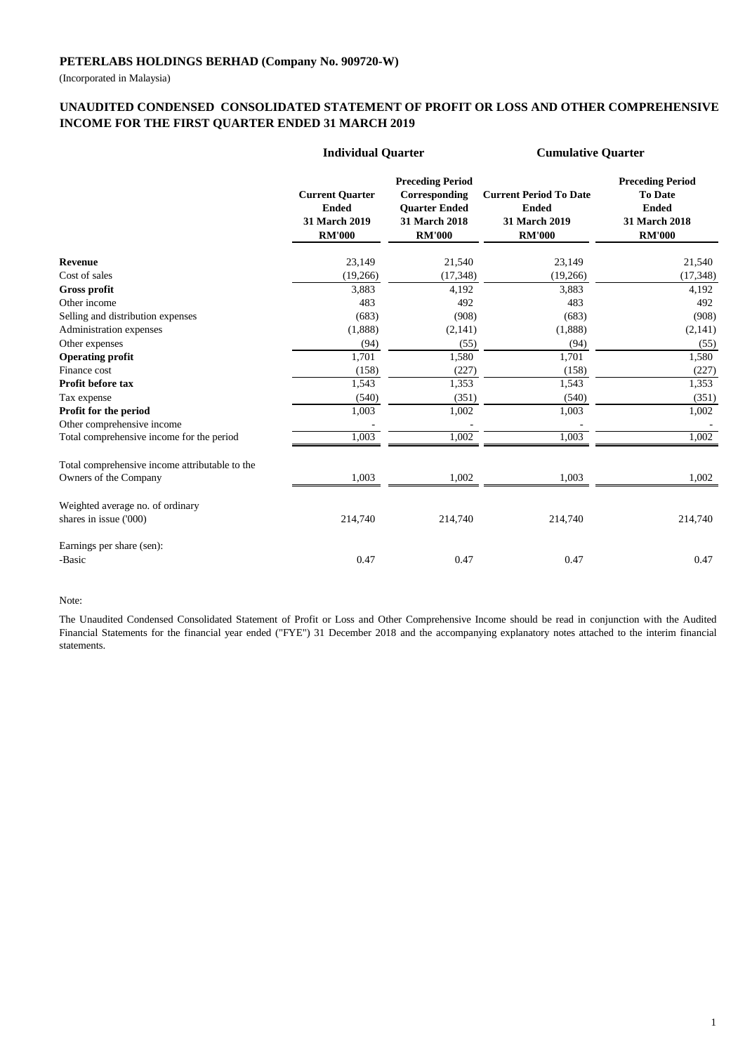(Incorporated in Malaysia)

### **UNAUDITED CONDENSED CONSOLIDATED STATEMENT OF PROFIT OR LOSS AND OTHER COMPREHENSIVE INCOME FOR THE FIRST QUARTER ENDED 31 MARCH 2019**

|                                                | <b>Individual Quarter</b>                                                |                                                                                                    | <b>Cumulative Quarter</b>                                                       |                                                                                             |  |
|------------------------------------------------|--------------------------------------------------------------------------|----------------------------------------------------------------------------------------------------|---------------------------------------------------------------------------------|---------------------------------------------------------------------------------------------|--|
|                                                | <b>Current Quarter</b><br><b>Ended</b><br>31 March 2019<br><b>RM'000</b> | <b>Preceding Period</b><br>Corresponding<br><b>Quarter Ended</b><br>31 March 2018<br><b>RM'000</b> | <b>Current Period To Date</b><br><b>Ended</b><br>31 March 2019<br><b>RM'000</b> | <b>Preceding Period</b><br><b>To Date</b><br><b>Ended</b><br>31 March 2018<br><b>RM'000</b> |  |
| <b>Revenue</b>                                 | 23,149                                                                   | 21,540                                                                                             | 23,149                                                                          | 21,540                                                                                      |  |
| Cost of sales                                  | (19,266)                                                                 | (17, 348)                                                                                          | (19,266)                                                                        | (17, 348)                                                                                   |  |
| <b>Gross profit</b>                            | 3,883                                                                    | 4,192                                                                                              | 3,883                                                                           | 4,192                                                                                       |  |
| Other income                                   | 483                                                                      | 492                                                                                                | 483                                                                             | 492                                                                                         |  |
| Selling and distribution expenses              | (683)                                                                    | (908)                                                                                              | (683)                                                                           | (908)                                                                                       |  |
| Administration expenses                        | (1,888)                                                                  | (2,141)                                                                                            | (1,888)                                                                         | (2,141)                                                                                     |  |
| Other expenses                                 | (94)                                                                     | (55)                                                                                               | (94)                                                                            | (55)                                                                                        |  |
| <b>Operating profit</b>                        | 1,701                                                                    | 1,580                                                                                              | 1,701                                                                           | 1,580                                                                                       |  |
| Finance cost                                   | (158)                                                                    | (227)                                                                                              | (158)                                                                           | (227)                                                                                       |  |
| Profit before tax                              | 1,543                                                                    | 1,353                                                                                              | 1,543                                                                           | 1,353                                                                                       |  |
| Tax expense                                    | (540)                                                                    | (351)                                                                                              | (540)                                                                           | (351)                                                                                       |  |
| Profit for the period                          | 1,003                                                                    | 1,002                                                                                              | 1,003                                                                           | 1,002                                                                                       |  |
| Other comprehensive income                     |                                                                          |                                                                                                    |                                                                                 |                                                                                             |  |
| Total comprehensive income for the period      | 1,003                                                                    | 1,002                                                                                              | 1,003                                                                           | 1,002                                                                                       |  |
| Total comprehensive income attributable to the |                                                                          |                                                                                                    |                                                                                 |                                                                                             |  |
| Owners of the Company                          | 1,003                                                                    | 1,002                                                                                              | 1,003                                                                           | 1,002                                                                                       |  |
| Weighted average no. of ordinary               |                                                                          |                                                                                                    |                                                                                 |                                                                                             |  |
| shares in issue ('000)                         | 214,740                                                                  | 214,740                                                                                            | 214,740                                                                         | 214,740                                                                                     |  |
| Earnings per share (sen):                      |                                                                          |                                                                                                    |                                                                                 |                                                                                             |  |
| -Basic                                         | 0.47                                                                     | 0.47                                                                                               | 0.47                                                                            | 0.47                                                                                        |  |

#### Note:

The Unaudited Condensed Consolidated Statement of Profit or Loss and Other Comprehensive Income should be read in conjunction with the Audited Financial Statements for the financial year ended ("FYE") 31 December 2018 and the accompanying explanatory notes attached to the interim financial statements.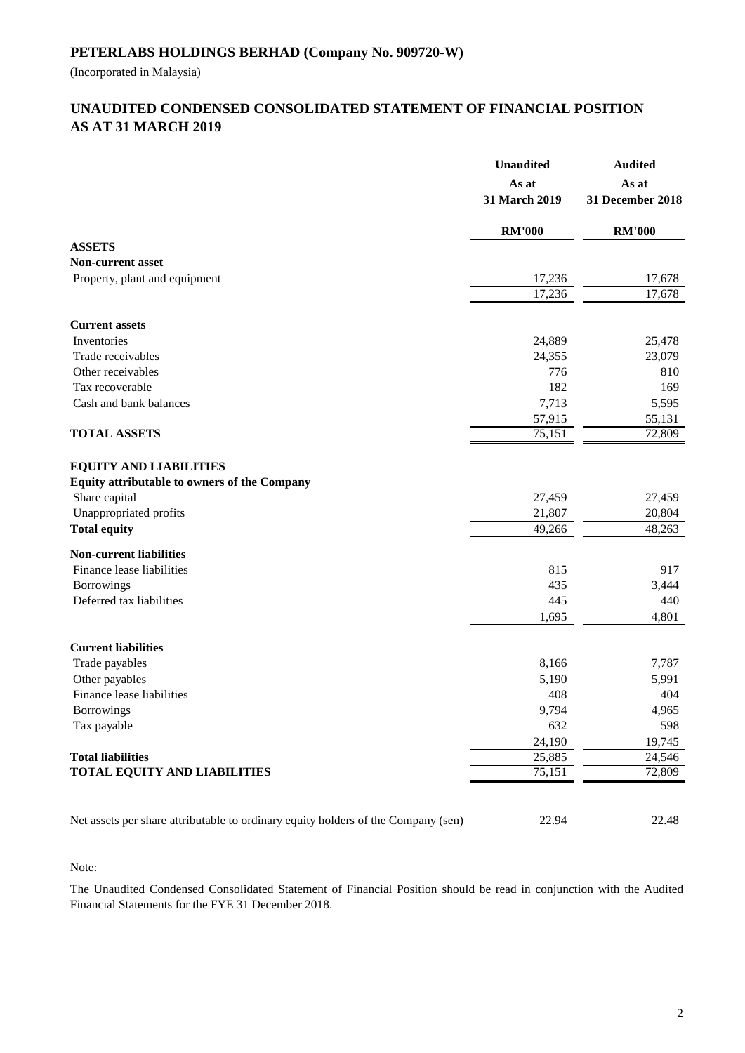(Incorporated in Malaysia)

## **AS AT 31 MARCH 2019 UNAUDITED CONDENSED CONSOLIDATED STATEMENT OF FINANCIAL POSITION**

|                                                                                                                          | <b>Unaudited</b><br>As at<br>31 March 2019 | <b>Audited</b><br>As at<br>31 December 2018 |
|--------------------------------------------------------------------------------------------------------------------------|--------------------------------------------|---------------------------------------------|
|                                                                                                                          | <b>RM'000</b>                              | <b>RM'000</b>                               |
| <b>ASSETS</b>                                                                                                            |                                            |                                             |
| <b>Non-current asset</b>                                                                                                 |                                            |                                             |
| Property, plant and equipment                                                                                            | 17,236                                     | 17,678                                      |
|                                                                                                                          | 17,236                                     | 17,678                                      |
| <b>Current assets</b>                                                                                                    |                                            |                                             |
| Inventories                                                                                                              | 24,889                                     | 25,478                                      |
| Trade receivables                                                                                                        | 24,355                                     | 23,079                                      |
| Other receivables                                                                                                        | 776                                        | 810                                         |
| Tax recoverable                                                                                                          | 182                                        | 169                                         |
| Cash and bank balances                                                                                                   | 7,713                                      | 5,595                                       |
|                                                                                                                          | 57,915                                     | 55,131                                      |
| <b>TOTAL ASSETS</b>                                                                                                      | 75,151                                     | 72,809                                      |
| <b>EQUITY AND LIABILITIES</b><br>Equity attributable to owners of the Company<br>Share capital<br>Unappropriated profits | 27,459<br>21,807                           | 27,459<br>20,804                            |
| <b>Total equity</b>                                                                                                      | 49,266                                     | 48,263                                      |
| <b>Non-current liabilities</b>                                                                                           |                                            |                                             |
| Finance lease liabilities                                                                                                | 815                                        | 917                                         |
| Borrowings                                                                                                               | 435                                        | 3,444                                       |
| Deferred tax liabilities                                                                                                 | 445                                        | 440                                         |
|                                                                                                                          | 1,695                                      | 4,801                                       |
| <b>Current liabilities</b>                                                                                               |                                            |                                             |
| Trade payables                                                                                                           | 8,166                                      | 7,787                                       |
| Other payables                                                                                                           | 5,190                                      | 5,991                                       |
| Finance lease liabilities                                                                                                | 408                                        | 404                                         |
| <b>Borrowings</b>                                                                                                        | 9,794                                      | 4,965                                       |
| Tax payable                                                                                                              | 632                                        | 598                                         |
|                                                                                                                          | 24,190                                     | 19,745                                      |
| <b>Total liabilities</b>                                                                                                 | 25,885                                     | 24,546                                      |
| <b>TOTAL EQUITY AND LIABILITIES</b>                                                                                      | 75,151                                     | 72,809                                      |
| Net assets per share attributable to ordinary equity holders of the Company (sen)                                        | 22.94                                      | 22.48                                       |

Note:

The Unaudited Condensed Consolidated Statement of Financial Position should be read in conjunction with the Audited Financial Statements for the FYE 31 December 2018.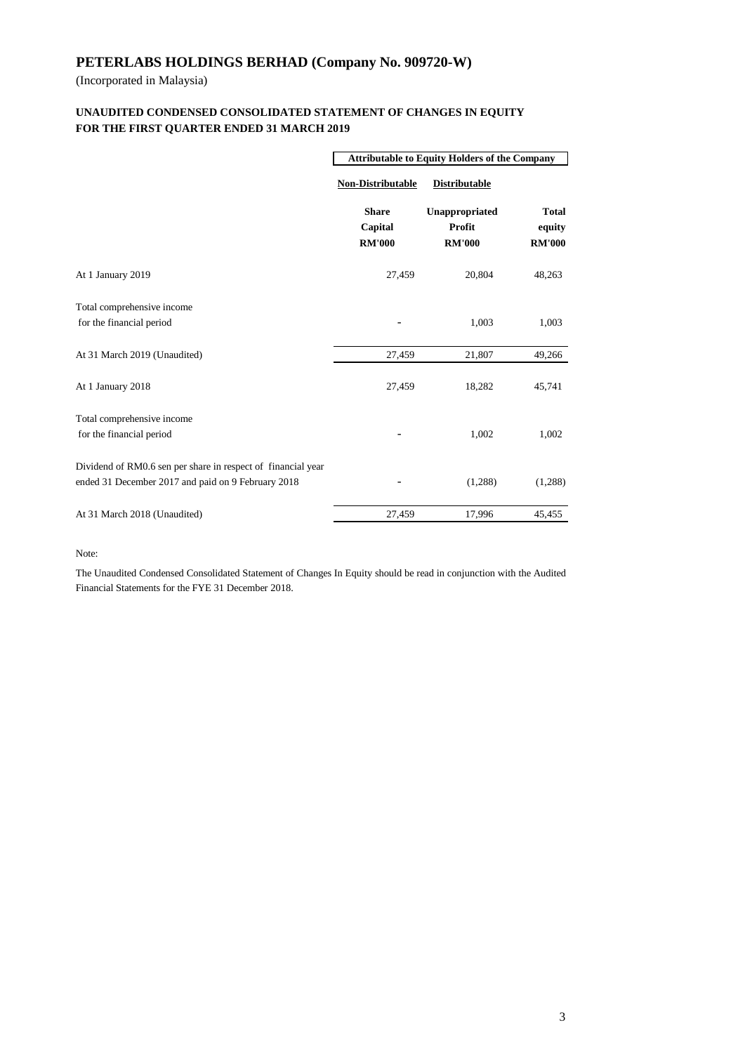(Incorporated in Malaysia)

#### **FOR THE FIRST QUARTER ENDED 31 MARCH 2019 UNAUDITED CONDENSED CONSOLIDATED STATEMENT OF CHANGES IN EQUITY**

|                                                                                                                    | <b>Attributable to Equity Holders of the Company</b> |                                           |                                         |  |
|--------------------------------------------------------------------------------------------------------------------|------------------------------------------------------|-------------------------------------------|-----------------------------------------|--|
|                                                                                                                    | <b>Non-Distributable</b>                             | <b>Distributable</b>                      |                                         |  |
|                                                                                                                    | <b>Share</b><br>Capital<br><b>RM'000</b>             | Unappropriated<br>Profit<br><b>RM'000</b> | <b>Total</b><br>equity<br><b>RM'000</b> |  |
| At 1 January 2019                                                                                                  | 27,459                                               | 20,804                                    | 48,263                                  |  |
| Total comprehensive income<br>for the financial period                                                             |                                                      | 1,003                                     | 1,003                                   |  |
| At 31 March 2019 (Unaudited)                                                                                       | 27,459                                               | 21,807                                    | 49,266                                  |  |
| At 1 January 2018                                                                                                  | 27,459                                               | 18,282                                    | 45,741                                  |  |
| Total comprehensive income<br>for the financial period                                                             |                                                      | 1,002                                     | 1,002                                   |  |
| Dividend of RM0.6 sen per share in respect of financial year<br>ended 31 December 2017 and paid on 9 February 2018 |                                                      | (1,288)                                   | (1,288)                                 |  |
| At 31 March 2018 (Unaudited)                                                                                       | 27,459                                               | 17,996                                    | 45,455                                  |  |

Note:

The Unaudited Condensed Consolidated Statement of Changes In Equity should be read in conjunction with the Audited Financial Statements for the FYE 31 December 2018.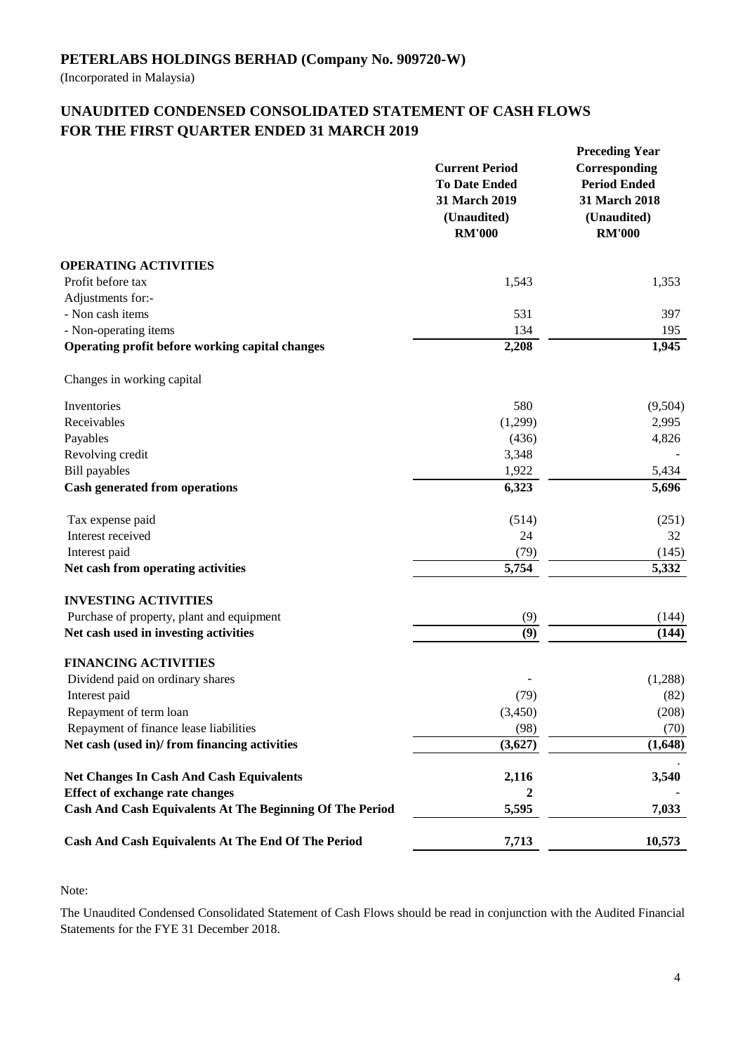(Incorporated in Malaysia)

## **UNAUDITED CONDENSED CONSOLIDATED STATEMENT OF CASH FLOWS FOR THE FIRST QUARTER ENDED 31 MARCH 2019**

|                                                           | <b>Current Period</b><br><b>To Date Ended</b><br>31 March 2019<br>(Unaudited)<br><b>RM'000</b> | <b>Preceding Year</b><br>Corresponding<br><b>Period Ended</b><br>31 March 2018<br>(Unaudited)<br><b>RM'000</b> |
|-----------------------------------------------------------|------------------------------------------------------------------------------------------------|----------------------------------------------------------------------------------------------------------------|
| <b>OPERATING ACTIVITIES</b>                               |                                                                                                |                                                                                                                |
| Profit before tax                                         | 1,543                                                                                          | 1,353                                                                                                          |
| Adjustments for:-                                         |                                                                                                |                                                                                                                |
| - Non cash items                                          | 531                                                                                            | 397                                                                                                            |
| - Non-operating items                                     | 134                                                                                            | 195                                                                                                            |
| Operating profit before working capital changes           | 2,208                                                                                          | 1,945                                                                                                          |
| Changes in working capital                                |                                                                                                |                                                                                                                |
| Inventories                                               | 580                                                                                            | (9,504)                                                                                                        |
| Receivables                                               | (1,299)                                                                                        | 2,995                                                                                                          |
| Payables                                                  | (436)                                                                                          | 4,826                                                                                                          |
| Revolving credit                                          | 3,348                                                                                          |                                                                                                                |
| <b>Bill</b> payables                                      | 1,922                                                                                          | 5,434                                                                                                          |
| <b>Cash generated from operations</b>                     | 6,323                                                                                          | 5,696                                                                                                          |
| Tax expense paid                                          | (514)                                                                                          | (251)                                                                                                          |
| Interest received                                         | 24                                                                                             | 32                                                                                                             |
| Interest paid                                             | (79)                                                                                           | (145)                                                                                                          |
| Net cash from operating activities                        | 5,754                                                                                          | 5,332                                                                                                          |
| <b>INVESTING ACTIVITIES</b>                               |                                                                                                |                                                                                                                |
| Purchase of property, plant and equipment                 | (9)                                                                                            | (144)                                                                                                          |
| Net cash used in investing activities                     | (9)                                                                                            | (144)                                                                                                          |
| <b>FINANCING ACTIVITIES</b>                               |                                                                                                |                                                                                                                |
| Dividend paid on ordinary shares                          |                                                                                                | (1,288)                                                                                                        |
| Interest paid                                             | (79)                                                                                           | (82)                                                                                                           |
| Repayment of term loan                                    | (3,450)                                                                                        | (208)                                                                                                          |
| Repayment of finance lease liabilities                    | (98)                                                                                           | (70)                                                                                                           |
| Net cash (used in)/ from financing activities             | (3,627)                                                                                        | (1,648)                                                                                                        |
| <b>Net Changes In Cash And Cash Equivalents</b>           | 2,116                                                                                          | 3,540                                                                                                          |
| <b>Effect of exchange rate changes</b>                    | 2                                                                                              |                                                                                                                |
| Cash And Cash Equivalents At The Beginning Of The Period  | 5,595                                                                                          | 7,033                                                                                                          |
| <b>Cash And Cash Equivalents At The End Of The Period</b> | 7,713                                                                                          | 10,573                                                                                                         |

Note:

The Unaudited Condensed Consolidated Statement of Cash Flows should be read in conjunction with the Audited Financial Statements for the FYE 31 December 2018.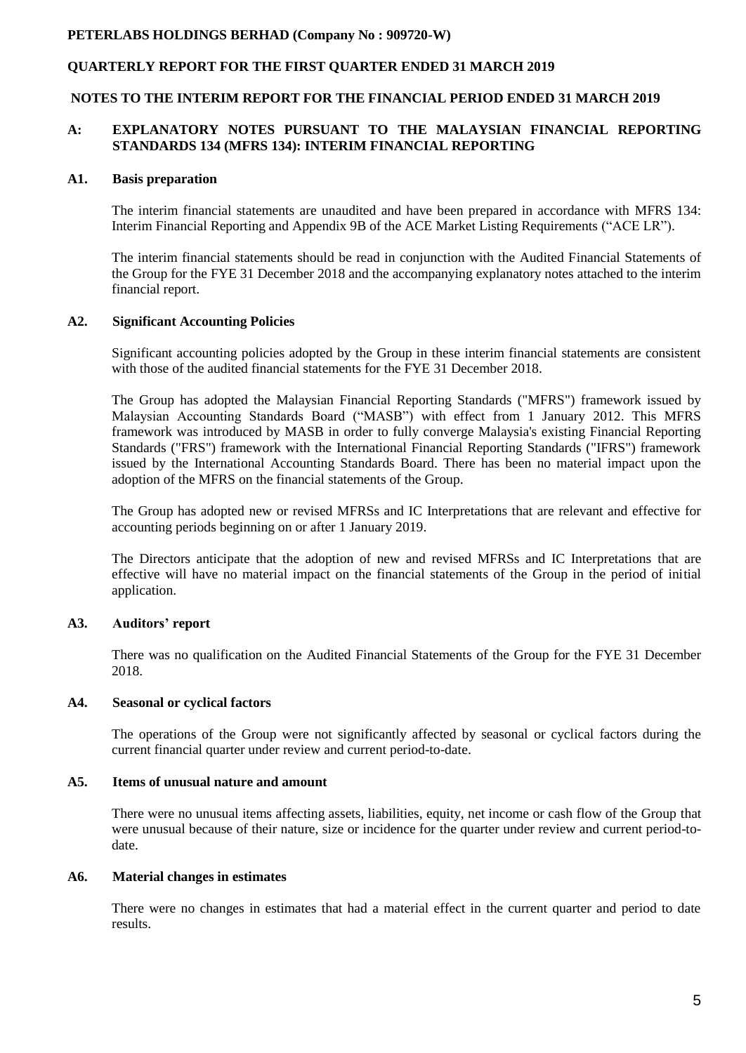### **QUARTERLY REPORT FOR THE FIRST QUARTER ENDED 31 MARCH 2019**

#### **NOTES TO THE INTERIM REPORT FOR THE FINANCIAL PERIOD ENDED 31 MARCH 2019**

#### **A: EXPLANATORY NOTES PURSUANT TO THE MALAYSIAN FINANCIAL REPORTING STANDARDS 134 (MFRS 134): INTERIM FINANCIAL REPORTING**

#### **A1. Basis preparation**

The interim financial statements are unaudited and have been prepared in accordance with MFRS 134: Interim Financial Reporting and Appendix 9B of the ACE Market Listing Requirements ("ACE LR").

The interim financial statements should be read in conjunction with the Audited Financial Statements of the Group for the FYE 31 December 2018 and the accompanying explanatory notes attached to the interim financial report.

#### **A2. Significant Accounting Policies**

Significant accounting policies adopted by the Group in these interim financial statements are consistent with those of the audited financial statements for the FYE 31 December 2018.

The Group has adopted the Malaysian Financial Reporting Standards ("MFRS") framework issued by Malaysian Accounting Standards Board ("MASB") with effect from 1 January 2012. This MFRS framework was introduced by MASB in order to fully converge Malaysia's existing Financial Reporting Standards ("FRS") framework with the International Financial Reporting Standards ("IFRS") framework issued by the International Accounting Standards Board. There has been no material impact upon the adoption of the MFRS on the financial statements of the Group.

The Group has adopted new or revised MFRSs and IC Interpretations that are relevant and effective for accounting periods beginning on or after 1 January 2019.

The Directors anticipate that the adoption of new and revised MFRSs and IC Interpretations that are effective will have no material impact on the financial statements of the Group in the period of initial application.

#### **A3. Auditors' report**

There was no qualification on the Audited Financial Statements of the Group for the FYE 31 December 2018.

#### **A4. Seasonal or cyclical factors**

The operations of the Group were not significantly affected by seasonal or cyclical factors during the current financial quarter under review and current period-to-date.

#### **A5. Items of unusual nature and amount**

There were no unusual items affecting assets, liabilities, equity, net income or cash flow of the Group that were unusual because of their nature, size or incidence for the quarter under review and current period-todate.

#### **A6. Material changes in estimates**

There were no changes in estimates that had a material effect in the current quarter and period to date results.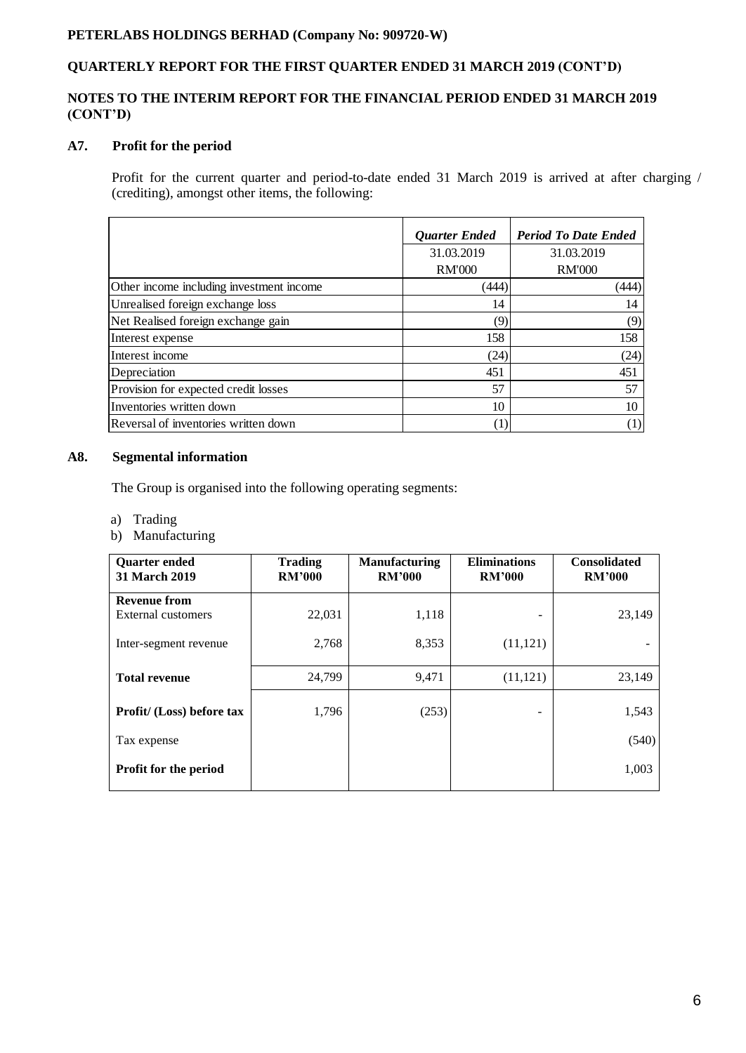# **QUARTERLY REPORT FOR THE FIRST QUARTER ENDED 31 MARCH 2019 (CONT'D)**

### **NOTES TO THE INTERIM REPORT FOR THE FINANCIAL PERIOD ENDED 31 MARCH 2019 (CONT'D)**

### **A7. Profit for the period**

Profit for the current quarter and period-to-date ended 31 March 2019 is arrived at after charging / (crediting), amongst other items, the following:

|                                          | <b>Quarter Ended</b> | <b>Period To Date Ended</b> |
|------------------------------------------|----------------------|-----------------------------|
|                                          | 31.03.2019           | 31.03.2019                  |
|                                          | <b>RM'000</b>        | <b>RM'000</b>               |
| Other income including investment income | (444)                | (444)                       |
| Unrealised foreign exchange loss         | 14                   | 14                          |
| Net Realised foreign exchange gain       | (9)                  | (9)                         |
| Interest expense                         | 158                  | 158                         |
| Interest income                          | (24)                 | (24)                        |
| Depreciation                             | 451                  | 451                         |
| Provision for expected credit losses     | 57                   | 57                          |
| Inventories written down                 | 10                   | 10                          |
| Reversal of inventories written down     | (1)                  |                             |

### **A8. Segmental information**

The Group is organised into the following operating segments:

- a) Trading
- b) Manufacturing

| <b>Ouarter ended</b><br><b>31 March 2019</b> | <b>Trading</b><br><b>RM'000</b> | <b>Manufacturing</b><br><b>RM'000</b> | <b>Eliminations</b><br><b>RM'000</b> | <b>Consolidated</b><br><b>RM'000</b> |
|----------------------------------------------|---------------------------------|---------------------------------------|--------------------------------------|--------------------------------------|
| <b>Revenue from</b>                          |                                 |                                       |                                      |                                      |
| External customers                           | 22,031                          | 1,118                                 | -                                    | 23,149                               |
| Inter-segment revenue                        | 2,768                           | 8,353                                 | (11, 121)                            |                                      |
| <b>Total revenue</b>                         | 24,799                          | 9,471                                 | (11, 121)                            | 23,149                               |
| Profit/ (Loss) before tax                    | 1,796                           | (253)                                 |                                      | 1,543                                |
| Tax expense                                  |                                 |                                       |                                      | (540)                                |
| <b>Profit for the period</b>                 |                                 |                                       |                                      | 1,003                                |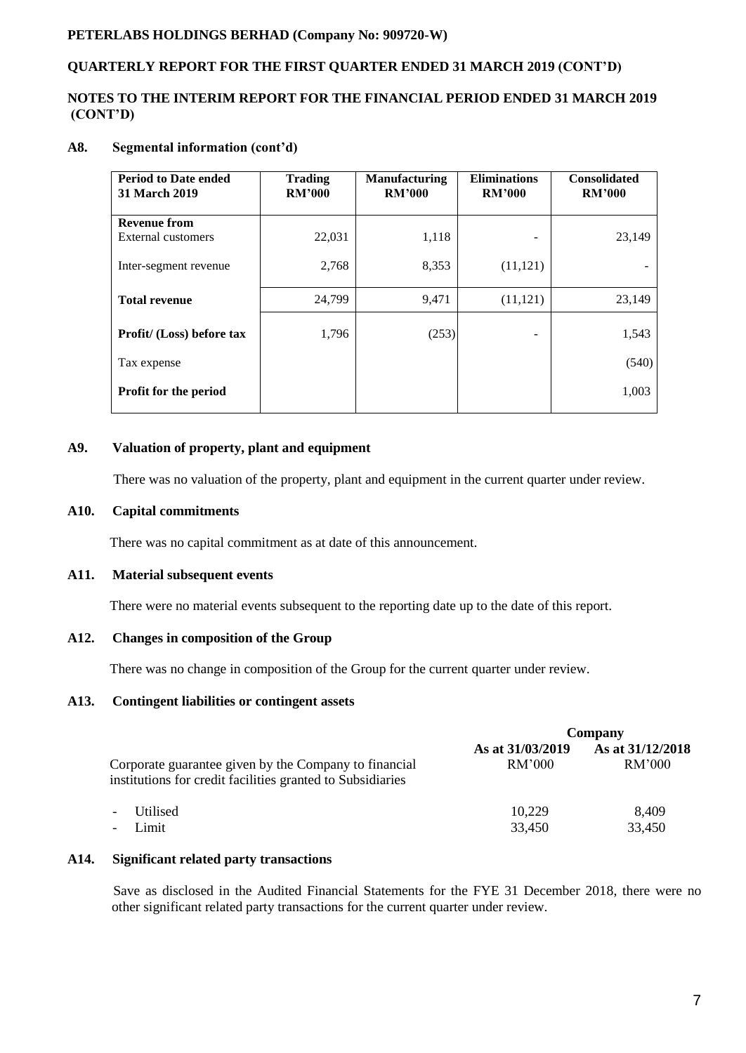### **QUARTERLY REPORT FOR THE FIRST QUARTER ENDED 31 MARCH 2019 (CONT'D)**

### **NOTES TO THE INTERIM REPORT FOR THE FINANCIAL PERIOD ENDED 31 MARCH 2019 (CONT'D)**

### **A8. Segmental information (cont'd)**

| <b>Period to Date ended</b><br><b>31 March 2019</b> | <b>Trading</b><br><b>RM'000</b> | <b>Manufacturing</b><br><b>RM'000</b> | <b>Eliminations</b><br><b>RM'000</b> | <b>Consolidated</b><br><b>RM'000</b> |
|-----------------------------------------------------|---------------------------------|---------------------------------------|--------------------------------------|--------------------------------------|
| <b>Revenue from</b>                                 |                                 |                                       |                                      |                                      |
| External customers                                  | 22,031                          | 1,118                                 |                                      | 23,149                               |
| Inter-segment revenue                               | 2,768                           | 8,353                                 | (11, 121)                            |                                      |
| <b>Total revenue</b>                                | 24,799                          | 9,471                                 | (11, 121)                            | 23,149                               |
| Profit/ (Loss) before tax                           | 1,796                           | (253)                                 |                                      | 1,543                                |
| Tax expense                                         |                                 |                                       |                                      | (540)                                |
| <b>Profit for the period</b>                        |                                 |                                       |                                      | 1,003                                |

### **A9. Valuation of property, plant and equipment**

There was no valuation of the property, plant and equipment in the current quarter under review.

#### **A10. Capital commitments**

There was no capital commitment as at date of this announcement.

#### **A11. Material subsequent events**

There were no material events subsequent to the reporting date up to the date of this report.

### **A12. Changes in composition of the Group**

There was no change in composition of the Group for the current quarter under review.

#### **A13. Contingent liabilities or contingent assets**

|                                                                                                                     | Company                    |                            |
|---------------------------------------------------------------------------------------------------------------------|----------------------------|----------------------------|
| Corporate guarantee given by the Company to financial<br>institutions for credit facilities granted to Subsidiaries | As at 31/03/2019<br>RM'000 | As at 31/12/2018<br>RM'000 |
| <b>Utilised</b><br>$\overline{\phantom{a}}$<br>Limit<br>$\overline{\phantom{a}}$                                    | 10,229<br>33,450           | 8,409<br>33,450            |

### **A14. Significant related party transactions**

 Save as disclosed in the Audited Financial Statements for the FYE 31 December 2018, there were no other significant related party transactions for the current quarter under review.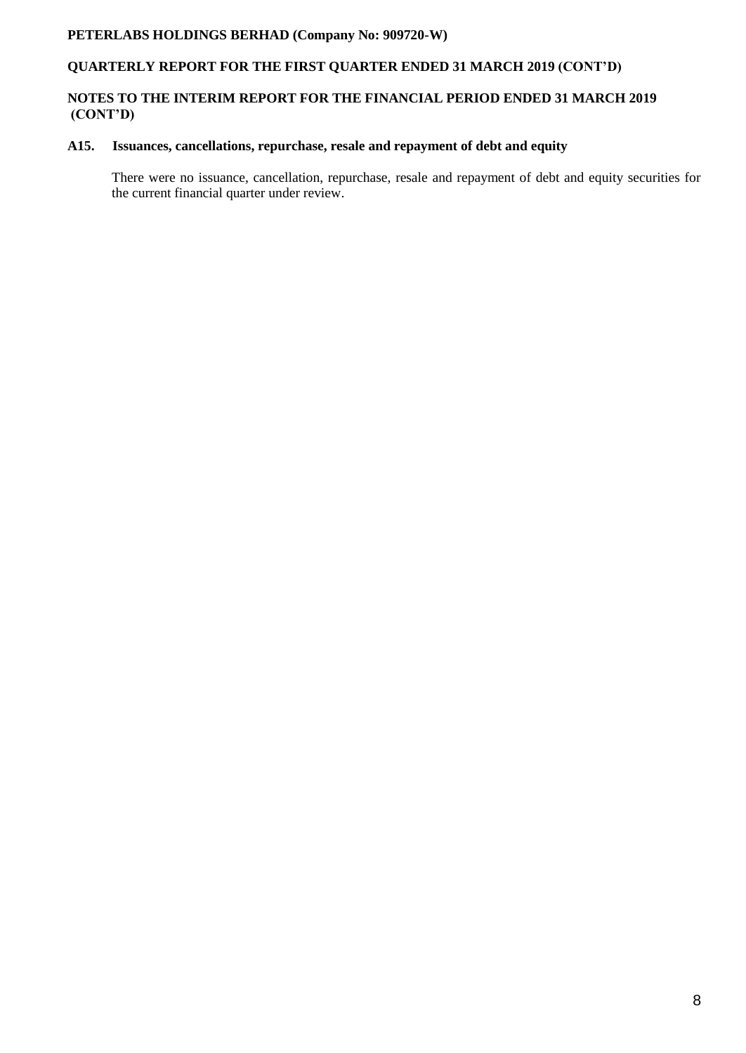## **QUARTERLY REPORT FOR THE FIRST QUARTER ENDED 31 MARCH 2019 (CONT'D)**

### **NOTES TO THE INTERIM REPORT FOR THE FINANCIAL PERIOD ENDED 31 MARCH 2019 (CONT'D)**

### **A15. Issuances, cancellations, repurchase, resale and repayment of debt and equity**

There were no issuance, cancellation, repurchase, resale and repayment of debt and equity securities for the current financial quarter under review.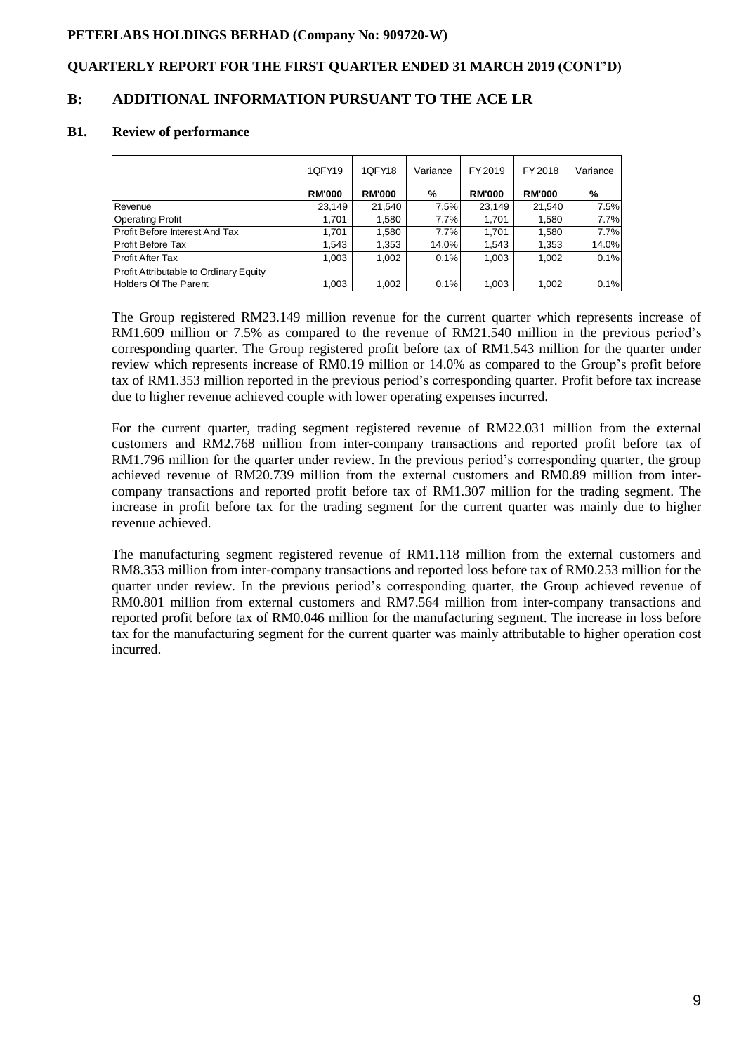### **QUARTERLY REPORT FOR THE FIRST QUARTER ENDED 31 MARCH 2019 (CONT'D)**

## **B: ADDITIONAL INFORMATION PURSUANT TO THE ACE LR**

#### **B1. Review of performance**

|                                                                 | 1QFY19        | 1QFY18        | Variance | FY 2019       | FY 2018       | Variance |
|-----------------------------------------------------------------|---------------|---------------|----------|---------------|---------------|----------|
|                                                                 | <b>RM'000</b> | <b>RM'000</b> | %        | <b>RM'000</b> | <b>RM'000</b> | %        |
| Revenue                                                         | 23.149        | 21.540        | 7.5%     | 23,149        | 21,540        | 7.5%     |
| <b>Operating Profit</b>                                         | 1.701         | 1,580         | 7.7%     | 1,701         | 1,580         | 7.7%     |
| Profit Before Interest And Tax                                  | 1.701         | 1.580         | 7.7%     | 1.701         | 1.580         | 7.7%     |
| Profit Before Tax                                               | 1.543         | 1.353         | 14.0%    | 1,543         | 1,353         | 14.0%    |
| Profit After Tax                                                | 1.003         | 1.002         | 0.1%     | 1,003         | 1,002         | 0.1%     |
| Profit Attributable to Ordinary Equity<br>Holders Of The Parent | 1,003         | 1,002         | 0.1%     | 1,003         | 1,002         | 0.1%     |

The Group registered RM23.149 million revenue for the current quarter which represents increase of RM1.609 million or 7.5% as compared to the revenue of RM21.540 million in the previous period's corresponding quarter. The Group registered profit before tax of RM1.543 million for the quarter under review which represents increase of RM0.19 million or 14.0% as compared to the Group's profit before tax of RM1.353 million reported in the previous period's corresponding quarter. Profit before tax increase due to higher revenue achieved couple with lower operating expenses incurred.

For the current quarter, trading segment registered revenue of RM22.031 million from the external customers and RM2.768 million from inter-company transactions and reported profit before tax of RM1.796 million for the quarter under review. In the previous period's corresponding quarter, the group achieved revenue of RM20.739 million from the external customers and RM0.89 million from intercompany transactions and reported profit before tax of RM1.307 million for the trading segment. The increase in profit before tax for the trading segment for the current quarter was mainly due to higher revenue achieved.

The manufacturing segment registered revenue of RM1.118 million from the external customers and RM8.353 million from inter-company transactions and reported loss before tax of RM0.253 million for the quarter under review. In the previous period's corresponding quarter, the Group achieved revenue of RM0.801 million from external customers and RM7.564 million from inter-company transactions and reported profit before tax of RM0.046 million for the manufacturing segment. The increase in loss before tax for the manufacturing segment for the current quarter was mainly attributable to higher operation cost incurred.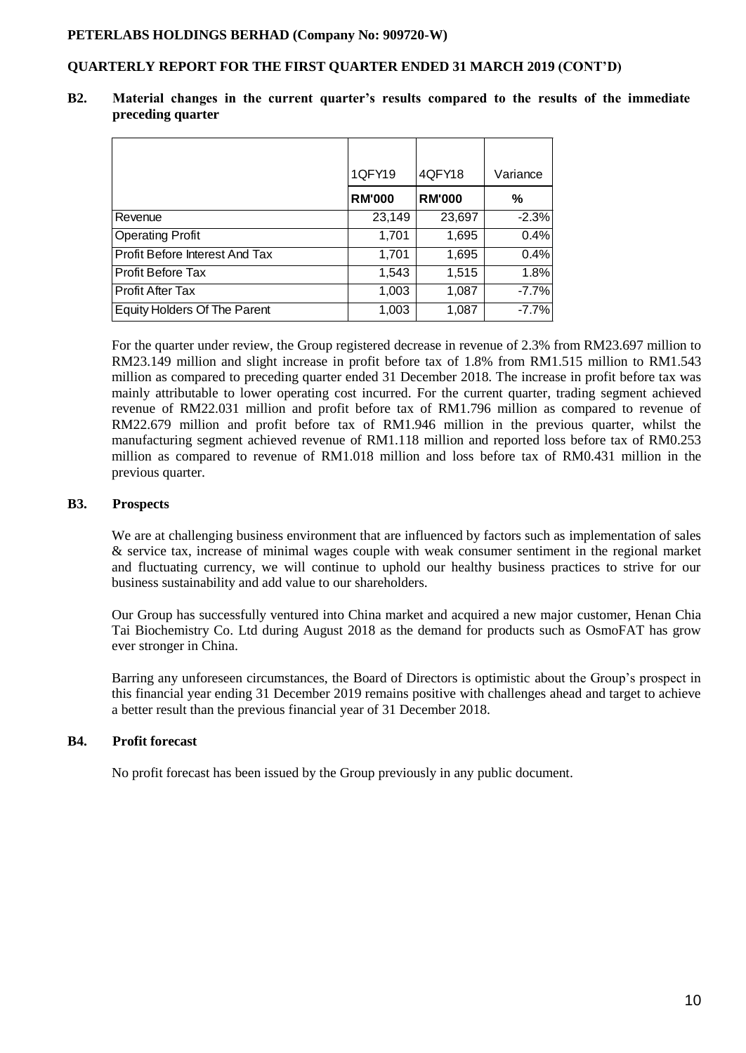### **QUARTERLY REPORT FOR THE FIRST QUARTER ENDED 31 MARCH 2019 (CONT'D)**

|                                | 1QFY19        | 4QFY18        | Variance |
|--------------------------------|---------------|---------------|----------|
|                                | <b>RM'000</b> | <b>RM'000</b> | %        |
| Revenue                        | 23,149        | 23,697        | $-2.3%$  |
| <b>Operating Profit</b>        | 1,701         | 1,695         | 0.4%     |
| Profit Before Interest And Tax | 1,701         | 1,695         | 0.4%     |
| <b>Profit Before Tax</b>       | 1,543         | 1,515         | 1.8%     |
| <b>Profit After Tax</b>        | 1,003         | 1,087         | $-7.7%$  |
| Equity Holders Of The Parent   | 1,003         | 1,087         | $-7.7%$  |

**B2. Material changes in the current quarter's results compared to the results of the immediate preceding quarter**

For the quarter under review, the Group registered decrease in revenue of 2.3% from RM23.697 million to RM23.149 million and slight increase in profit before tax of 1.8% from RM1.515 million to RM1.543 million as compared to preceding quarter ended 31 December 2018. The increase in profit before tax was mainly attributable to lower operating cost incurred. For the current quarter, trading segment achieved revenue of RM22.031 million and profit before tax of RM1.796 million as compared to revenue of RM22.679 million and profit before tax of RM1.946 million in the previous quarter, whilst the manufacturing segment achieved revenue of RM1.118 million and reported loss before tax of RM0.253 million as compared to revenue of RM1.018 million and loss before tax of RM0.431 million in the previous quarter.

#### **B3. Prospects**

We are at challenging business environment that are influenced by factors such as implementation of sales & service tax, increase of minimal wages couple with weak consumer sentiment in the regional market and fluctuating currency, we will continue to uphold our healthy business practices to strive for our business sustainability and add value to our shareholders.

Our Group has successfully ventured into China market and acquired a new major customer, Henan Chia Tai Biochemistry Co. Ltd during August 2018 as the demand for products such as OsmoFAT has grow ever stronger in China.

Barring any unforeseen circumstances, the Board of Directors is optimistic about the Group's prospect in this financial year ending 31 December 2019 remains positive with challenges ahead and target to achieve a better result than the previous financial year of 31 December 2018.

### **B4. Profit forecast**

No profit forecast has been issued by the Group previously in any public document.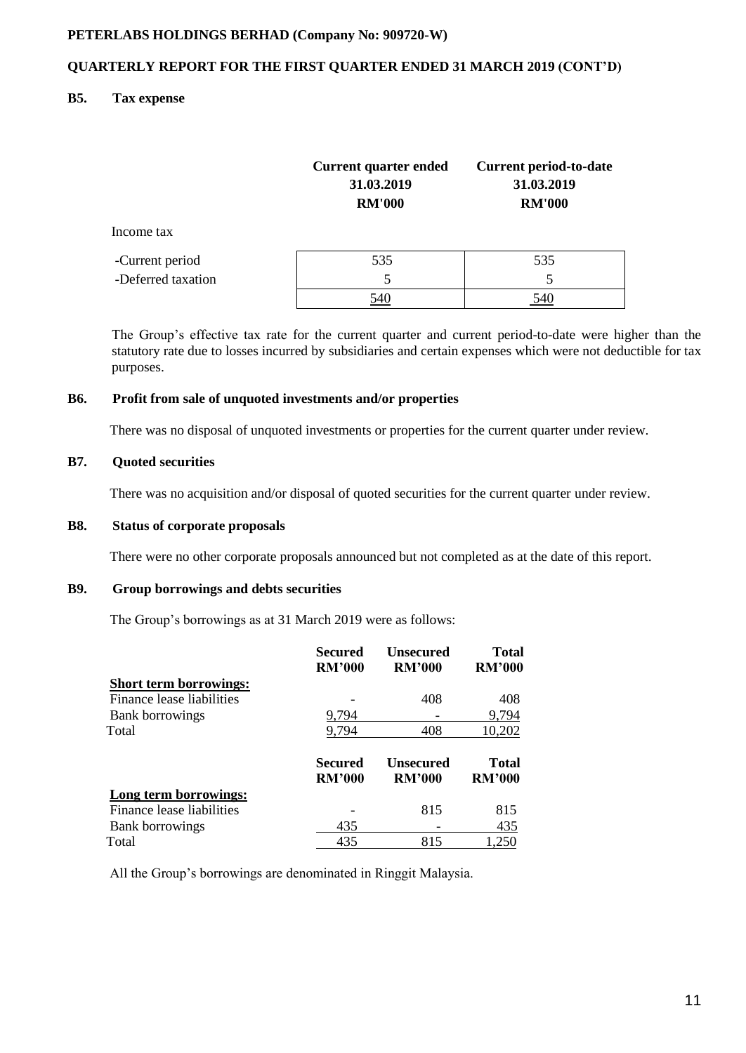### **QUARTERLY REPORT FOR THE FIRST QUARTER ENDED 31 MARCH 2019 (CONT'D)**

### **B5. Tax expense**

|                    | Current quarter ended<br>31.03.2019<br><b>RM'000</b> | <b>Current period-to-date</b><br>31.03.2019<br><b>RM'000</b> |
|--------------------|------------------------------------------------------|--------------------------------------------------------------|
| Income tax         |                                                      |                                                              |
| -Current period    | 535                                                  | 535                                                          |
| -Deferred taxation | 5                                                    |                                                              |
|                    |                                                      |                                                              |

The Group's effective tax rate for the current quarter and current period-to-date were higher than the statutory rate due to losses incurred by subsidiaries and certain expenses which were not deductible for tax purposes.

#### **B6. Profit from sale of unquoted investments and/or properties**

There was no disposal of unquoted investments or properties for the current quarter under review.

### **B7. Quoted securities**

There was no acquisition and/or disposal of quoted securities for the current quarter under review.

#### **B8. Status of corporate proposals**

There were no other corporate proposals announced but not completed as at the date of this report.

### **B9. Group borrowings and debts securities**

The Group's borrowings as at 31 March 2019 were as follows:

|                               | Secured<br><b>RM'000</b>        | Unsecured<br><b>RM'000</b>        | <b>Total</b><br><b>RM'000</b> |
|-------------------------------|---------------------------------|-----------------------------------|-------------------------------|
| <b>Short term borrowings:</b> |                                 |                                   |                               |
| Finance lease liabilities     |                                 | 408                               | 408                           |
| <b>Bank borrowings</b>        | 9,794                           |                                   | 9,794                         |
| Total                         | 9,794                           | 408                               | 10,202                        |
|                               | <b>Secured</b><br><b>RM'000</b> | <b>Unsecured</b><br><b>RM'000</b> | <b>Total</b><br><b>RM'000</b> |
| Long term borrowings:         |                                 |                                   |                               |
| Finance lease liabilities     |                                 | 815                               | 815                           |
|                               |                                 |                                   |                               |
| <b>Bank borrowings</b>        | 435                             |                                   | 435                           |

All the Group's borrowings are denominated in Ringgit Malaysia.